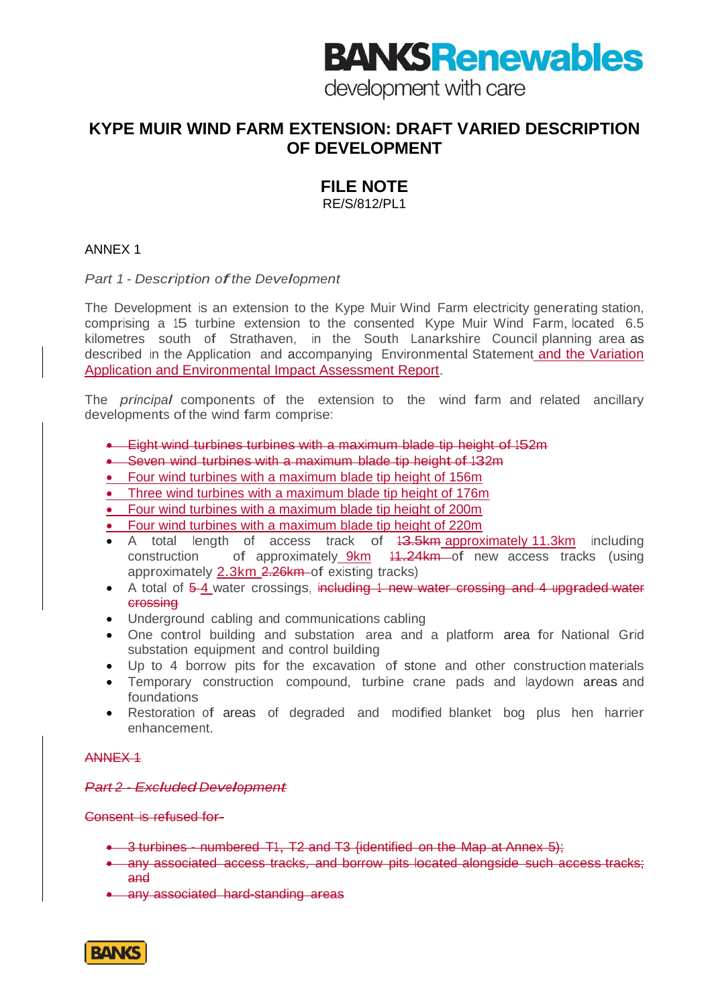# **BANG Renewables**

development with care

## **KYPE MUIR WIND FARM EXTENSION: DRAFT VARIED DESCRIPTION OF DEVELOPMENT**

## **FILE NOTE**

RE/S/812/PL1

### ANNEX 1

*Part <sup>1</sup> - Description ofthe Development*

The Development is an extension to the Kype Muir Wind Farm electricity generating station, comprising a 15 turbine extension to the consented Kype Muir Wind Farm, located 6.5 kilometres south of Strathaven, in the South Lanarkshire Council planning area as described in the Application and accompanying Environmental Statement and the Variation Application and Environmental Impact Assessment Report.

The *principal* components of the extension to the wind farm and related ancillary developments of the wind farm comprise:

- **Eight wind turbines turbines with a maximum blade tip height of 152m**
- Seven wind turbines with a maximum blade tip height of 132m
- Four wind turbines with a maximum blade tip height of 156m
- Three wind turbines with a maximum blade tip height of 176m
- Four wind turbines with a maximum blade tip height of 200m
- Four wind turbines with a maximum blade tip height of 220m
- A total length of access track of  $13.5km$  approximately 11.3km including construction of approximately 9km 11.24km of new access tracks (using approximately  $2.3 \text{km}$   $2.26 \text{km}$  of existing tracks)
- A total of 5-4 water crossings, including 1 new water crossing and 4 upgraded water crossing
- Underground cabling and communications cabling
- One control building and substation area and a platform area for National Grid substation equipment and control building
- Up to 4 borrow pits for the excavation of stone and other construction materials
- Temporary construction compound, turbine crane pads and laydown areas and foundations
- Restoration of areas of degraded and modified blanket bog plus hen harrier enhancement.

#### ANNEX 1

*Part <sup>2</sup> - Excluded Development*

Consent is refused for-

- 3 turbines numbered T1, T2 and T3 {identified on the Map at Annex 5};
- any associated access tracks, and borrow pits located alongside such access tracks; and
- any associated hard-standing areas